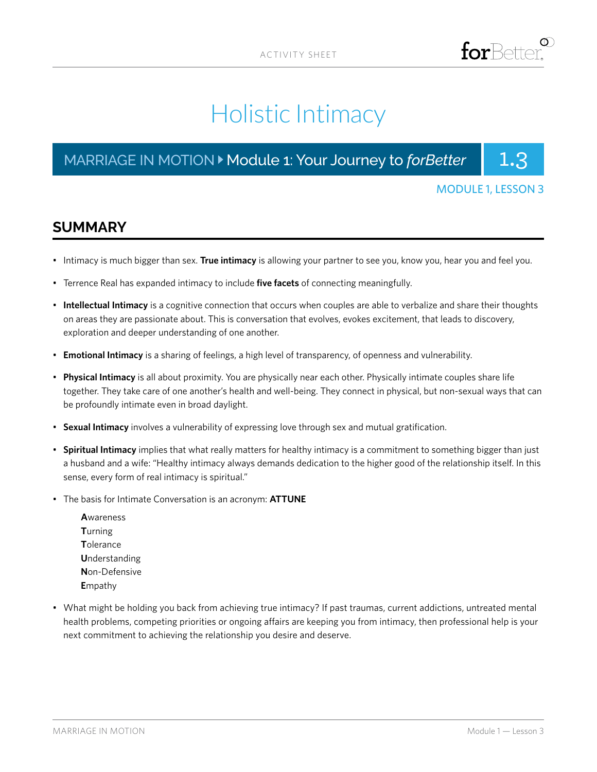# Holistic Intimacy

## MARRIAGE IN MOTION > Module 1: Your Journey to *forBetter* | 1.3



#### MODULE 1, LESSON 3

#### **SUMMARY**

- Intimacy is much bigger than sex. **True intimacy** is allowing your partner to see you, know you, hear you and feel you.
- Terrence Real has expanded intimacy to include **five facets** of connecting meaningfully.
- **Intellectual Intimacy** is a cognitive connection that occurs when couples are able to verbalize and share their thoughts on areas they are passionate about. This is conversation that evolves, evokes excitement, that leads to discovery, exploration and deeper understanding of one another.
- **Emotional Intimacy** is a sharing of feelings, a high level of transparency, of openness and vulnerability.
- **Physical Intimacy** is all about proximity. You are physically near each other. Physically intimate couples share life together. They take care of one another's health and well-being. They connect in physical, but non-sexual ways that can be profoundly intimate even in broad daylight.
- **Sexual Intimacy** involves a vulnerability of expressing love through sex and mutual gratification.
- **Spiritual Intimacy** implies that what really matters for healthy intimacy is a commitment to something bigger than just a husband and a wife: "Healthy intimacy always demands dedication to the higher good of the relationship itself. In this sense, every form of real intimacy is spiritual."
- The basis for Intimate Conversation is an acronym: **ATTUNE**
	- **A**wareness **T**urning **T**olerance **U**nderstanding **N**on-Defensive **E**mpathy
- What might be holding you back from achieving true intimacy? If past traumas, current addictions, untreated mental health problems, competing priorities or ongoing affairs are keeping you from intimacy, then professional help is your next commitment to achieving the relationship you desire and deserve.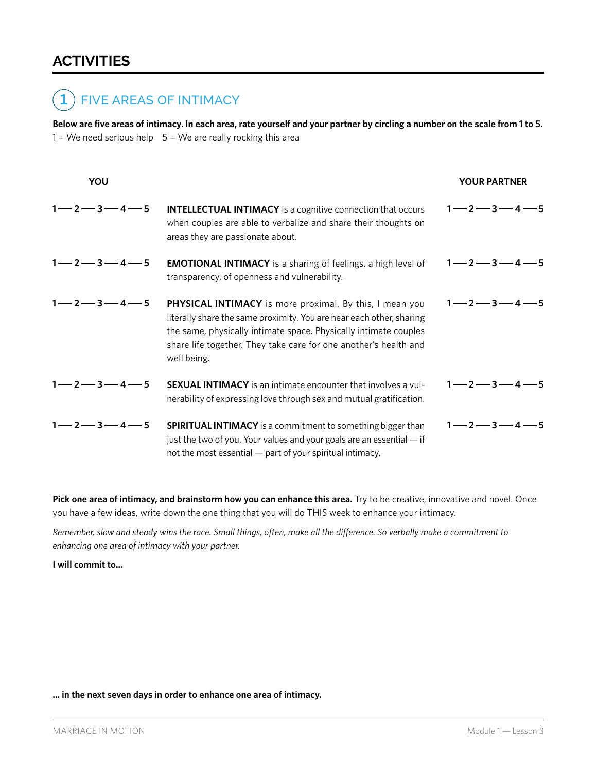### **ACTIVITIES**



**Pick one area of intimacy, and brainstorm how you can enhance this area.** Try to be creative, innovative and novel. Once you have a few ideas, write down the one thing that you will do THIS week to enhance your intimacy.

*Remember, slow and steady wins the race. Small things, often, make all the difference. So verbally make a commitment to enhancing one area of intimacy with your partner.*

**I will commit to...**

**... in the next seven days in order to enhance one area of intimacy.**